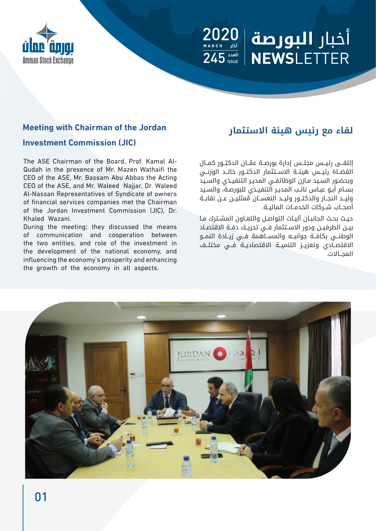# أخبار البورصة المعميم  $\overline{\mathbf{5}}_{\text{\tiny{ISSUE}}}^{\mathbf{1}}$ **NEWSLETTER**



#### **Investment Commission (JIC)**

Qudah in the presence of Mr. Mazen Wathaifi the The ASE Chairman of the Board, Prof, Kamal Al-CEO of the ASE, Mr. Bassam Abu Abbas the Acting CEO of the ASE, and Mr. Waleed Najjar, Dr. Waleed Al-Nassan Representatives of Syndicate of owners of financial services companies met the Chairman of the Jordan Investment Commission (JIC), Dr. Khaled Wazani

During the meeting; they discussed the means of communication and cooperation between the two entities, and role of the investment in the development of the national economy, and influencing the economy's prosperity and enhancing the growth of the economy in all aspects.

# **لقاء مع رئيس هيئة االستثمار Jordan the of Chairman with Meeting**

ّ إلتقــى رئيــس مجلــس إدارة بورصــة عمــان الدكتــور كمــال القضــاة رئيــس هيئــة الاســتثمار الدكتــور خالــد الوزنــي وبحضـور السـيد مـازن الوظائفـي المديـر التنفيـذي والسـيد بسـام أبـو عبـاس نائـب المديـر التنفيـذي للبورصـة، والسـيد ُ وليــد النجــار والدكتــور وليــد النعســان ممثليــن عــن نقابــة أصحــاب شــركات الخدمــات الماليــة.

حيـث بحـث الجانبـان آليـات التواصـل والتعـاون المشـترك مـا بيــن الطرفيــن ودور االســتثمار فــي تحريــك دفــة االقتصــاد الوطنــي بكافــة جوانبــه والمســاهمة فــي زيــادة النمــو الاقتصـادي وتعزيــز التنميــة الاقتصاديــة فــي مختلــف المجــاالت.

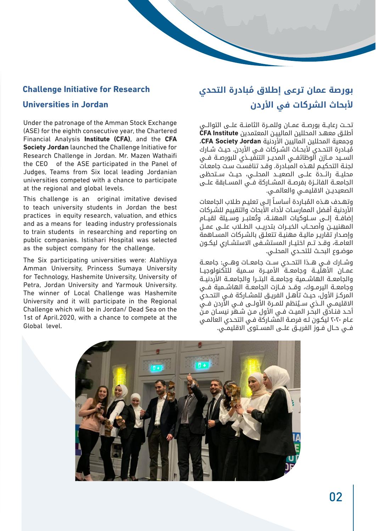#### **Challenge Initiative for Research**

#### **Universities in Jordan**

Under the patronage of the Amman Stock Exchange (ASE) for the eighth consecutive year, the Chartered **Financial Analysis Institute (CFA), and the CFA Society Jordan** launched the Challenge Initiative for Research Challenge in Jordan. Mr. Mazen Wathaifi the CEO of the ASE participated in the Panel of Judges, Teams from Six local leading Jordanian universities competed with a chance to participate at the regional and global levels.

This challenge is an original imitative devised to teach university students in Jordan the best practices in equity research, valuation, and ethics and as a means for leading industry professionals to train students in researching and reporting on public companies. Istishari Hospital was selected as the subject company for the challenge.

The Six participating universities were: Alahlivya Amman University, Princess Sumaya University for Technology, Hashemite University, University of Petra. Jordan University and Yarmouk University. The winner of Local Challenge was Hashemite University and it will participate in the Regional Challenge which will be in Jordan/ Dead Sea on the 1st of April.2020, with a chance to compete at the Global level.

# **ُ بورصة عمان ترعى إطالق مبادرة التحدي ألبحاث الشركات في األردن**

تحــت رعايــة بورصــة عمــان وللمــرة الثامنــة علــى التوالــي أطلـق معهـد المحللين المالييـن المعتمدين **Institute CFA** وجمعية المحللين الماليين األردنية **Jordan Society CFA**، مُبــادرة التحــدي لأبحــاث الشــركات فــي الأردن. حيــث شــارك الســيد مــازن الوظائفــي المديــر التنفيــذي للبورصــة فــي لجنـة التحكيـم لهـذه المبـادرة. وقـد تنافسـت سـت جامعـات محليــة رائــدة علــى الصعيــد المحلــي، حيــث ســتحظى الجامعــة الفائــزة بفرصــة المشــاركة فــي المســابقة علــى الصعيديــن الاقليمــي والعالمــي.

وتهـدف هـذه المُبـاردة أساسـاً إلـى تعليـم طـلاب الجامعات الأردنية أفضل الممارسـات لأداء الأبحاث والتقييم للشـركات إضافــة إلــى ســلوكــات المهنــة، وتُعتبــر وســـلة لقبــام المهنييــن وأصحــاب الخبــرات بتدريــب الطــاب علــى عمــل وإصـدار تقاريـر ماليـة مهنيـة تتعلـق بالشـركات المسـاهمة العامــة، وقــد تــم اختيــار المستشــفى الاستشــاري ليكــون موضــوع البحــث للتحــدي المحلــي.

وشــارك فــي هــذا التحــدي ســت جامعــات وهــي: جامعــة عمــان الأهليــة وجامعــة الأميــرة ســمية للتكنولوجيــا والجامعــة الهاشــمية وجامعــة البتـــرا والجامعــة الأردنيــة وجامعــة اليرمــوك، وقــد فــازت الجامعــة الهاشــمية فــي المركـز الأول، حيـث تأهـل الفريـق للمشـاركة فـي التحـدي الاقليمــي الــذي ســيُنظم للمــرة الاولــى فــي الاردن فــي أحـد فنـادّق البحـّر الميـت فـي الأول مـن شـهّر نيسـان مـنّ عـام 2020 ليكـون لـه فرصـة المشـاركة فـي التحـدي العالمـي فــي حــال فــوز الفريــق علــى المســتوى االقليمــي.

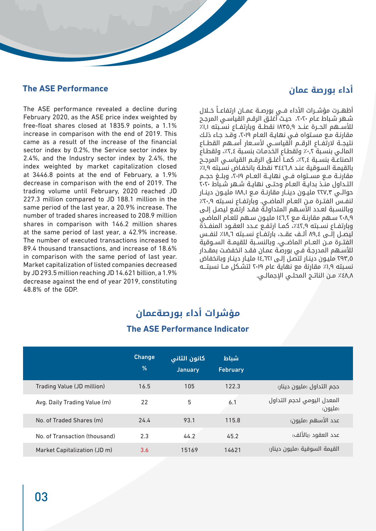#### **أداء بورصة عمان Performance ASE The**

The ASE performance revealed a decline during February 2020, as the ASE price index weighted by free-float shares closed at  $1835.9$  points, a  $1.1\%$ increase in comparison with the end of 2019. This came as a result of the increase of the financial sector index by 0.2%, the Service sector index by 2.4%, and the Industry sector index by 2.4%, the index weighted by market capitalization closed at  $3446.8$  points at the end of February, a 1.9% decrease in comparison with the end of 2019. The trading volume until February, 2020 reached JD 227.3 million compared to JD 188.1 million in the same period of the last year, a 20.9% increase. The number of traded shares increased to 208.9 million shares in comparison with 146.2 million shares at the same period of last year, a 42.9% increase. The number of executed transactions increased to 89.4 thousand transactions, and increase of 18.6% in comparison with the same period of last year. Market capitalization of listed companies decreased by JD 293.5 million reaching JD 14.621 billion, a  $1.9\%$ decrease against the end of year 2019, constituting 48.8% of the GDP.

أظهــرت مؤشــرات الأداء فــي بورصــة عمــان ارتفاعــاً خــلال شـهر شـباط عـام ،2020 حيـث أغلـق الرقـم القياسـي المرجـح للأســهم الحــرة عنــد ١٨٣٥,٩ نقطــة وبارتفــاع نســَبته ١,١٪ مقارنـة مـع مسـتواه فـي نهايـة العـام ٢٠١٩، وقـد جـاء ذلـك نتيجــة لارتفــاع الرقــم الّقياســي لأســعار أســهم القطــاع المالـي بنسـبة ٢.٢ ولقطـاع الخدمـات بنسـبة ٢.٤٪، ولقطـاع الصناعــة بنســبة ٢,٤٪، كمــا أغلــق الرقــم القياســي المرجـح بالقيمـة السـوقية عنـد 3446.8 نقطـة بانخفـاض نسـبته %1.9 مقارنــة مــع مســتواه فــي نهايــة العــام ٢٠١٩، وبلـــغ حجــم التـداول منـذ بدايـة العـام وحتـى نهايـة شـهر شـباط 2020 حوالــي 227.3 مليــون دينــار مقارنــة مــع 188.1 مليــون دينــار لنفـس الفتــرة مــن العــام الماضــي. وبارتفــاع نسـبته 7٠٫٩٪ وبالنسـبة لعـدد الأسـهم المتداولـة فقـد ارتفـع ليصـل إلـى 208.9 سـهم مقارنـة مـع 146.2 مليـون سـهم للعـام الماضـي وبارتفــاع نســبته ٢,٦٩٪، كمــا ارتفــع عــدد العقــود المنفــذة ليصــل إلــى ٨٩,٤ ألــف عقــد، بارتفــاع نســبته ١٨,٦٪ لنفــس الفتــرة مــن العــام الماضــي، وبالنســبة للقيمــة الســوقية لألسـهم المدرجـة فـي بورصـة عمـان فقـد انخفضـت بمقـدار 293.5 مليـون دينـار لتصـل إلـى 14.621 مليـار دينـار وبانخفاض نسـبته ١,٩٪ مقارنة مع نهاية عام ٢٠١٩ لتشـكل مــا نسبتـــه %48.8 مـن الناتـج المحلـي اإلجمالـي.

# **مؤشرات أداء بورصةعمان**

#### **The ASE Performance Indicator**

|                               | <b>Change</b><br>% | كانون الثاني<br><b>January</b> | شناط<br><b>February</b> |                                       |
|-------------------------------|--------------------|--------------------------------|-------------------------|---------------------------------------|
| Trading Value (JD million)    | 16.5               | 105                            | 122.3                   | حجم التداول رمليون دينار،             |
| Avg. Daily Trading Value (m)  | 22                 | 5                              | 6.1                     | المعدل اليومي لحجم التداول<br>(مليون) |
| No. of Traded Shares (m)      | 24.4               | 93.1                           | 115.8                   | عدد الأسهم (مليون)                    |
| No. of Transaction (thousand) | 2.3                | 44.2                           | 45.2                    | عدد العقود ربالألف)                   |
| Market Capitalization (JD m)  | 3.6                | 15169                          | 14621                   | القيمة السوقية رمليون دينار،          |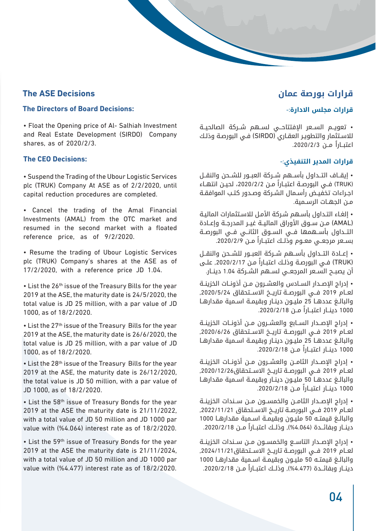## **قرارات بورصة عمان**

#### **قرارات مجلس االدارة**-:

• تعويــم الســعر اإلفتتاحــي لســهم شــركة الصالحيــة لالسـتثمار والتطويـر العقـاري )SIRDO )فـي البورصـة وذلـك ً اعتبــارا مــن .2020/2/3

#### **قرارات المدير التنفيذي**-:

• إيقــاف التــداول بأســهم شــركة العبــور للشــحن والنقــل )TRUK )ً فــي البورصــة اعتبــارا مــن ،2020/2/2 لحيــن انتهــاء اجـراءات تخفيـض رأسـمال الشـركة وصـدور كتـب الموافقـة مــن الجهــات الرســمية.

• إلغـاء التـداول بأسـهم شـركة األمـل لالسـتثمارات الماليـة )AMAL )مــن ســوق األوراق الماليــة غيــر المدرجــة وإعــادة التــداول بأســهمها فــي الســوق الثانــي فــي البورصــة ً بســعر مرجعــي معــوم وذلــك اعتبــارا مــن .2020/2/9

• إعــادة التــداول بأســهم شــركة العبــور للشــحن والنقــل )TRUK )ً فـي البورصـة وذلـك اعتبـارا مـن ,2020/2/17 علـى أن يصبــح الســعر المرجعــي لســهم الشــركة 1.04 دينــار.

• إدراج اإلصــدار الســادس والعشــرون مــن أذونــات الخزينــة لعــام 2019 فــي البورصــة تاريــخ االســتحقاق ,2020/5/24 والبالــغ عددهــا 25 مليــون دينــار وبقيمــة اســمية مقدارهــا 1000 ً دينــار اعتبــارا مــن .2020/2/18

• إدراج اإلصــدار الســابع والعشــرون مــن أذونــات الخزينــة لعــام 2019 فــي البورصــة تاريــخ االســتحقاق ,2020/6/26 والبالــغ عددهــا 25 مليــون دينــار وبقيمــة اســمية مقدارهــا 1000 ً دينــار اعتبــارا مــن .2020/2/18

• إدراج اإلصــدار الثامــن والعشــرون مــن أذونــات الخزينــة لعــام 2019 فــي البورصــة تاريــخ االســتحقاق,2020/12/26 والبالــغ عددهــا 50 مليــون دينــار وبقيمــة اســمية مقدارهــا 1000 ً دينــار اعتبــارا مــن .2020/2/18

• إدراج اإلصــدار الثامــن والخمســون مــن ســندات الخزينــة لعــام 2019 فــي البورصــة تاريــخ االســتحقاق ,2022/11/21 والبالــغ قيمتــه 50 مليــون وبقيمــة اســمية مقدارهــا 1000 دينــار وبفائــدة (4.064%), وذلــك اعتبــاراً مــن 2020/2/18.

• إدراج اإلصــدار التاســع والخمســون مــن ســندات الخزينــة لعــام 2019 فــي البورصــة تاريــخ االســتحقاق,2024/11/21 والبالــغ قيمتــه 50 مليــون وبقيمــة اســمية مقدارهــا 1000 دينــار وبفائــدة (4.477%), وذلــك اعتبــاراً مــن 2020/2/18.

# **The ASE Decisions**

#### **The Directors of Board Decisions:**

• Float the Opening price of Al- Salhiah Investment and Real Estate Development (SIRDO) Company shares, as of  $2020/2/3$ .

#### **The CEO Decisions:**

• Suspend the Trading of the Ubour Logistic Services plc (TRUK) Company At ASE as of 2/2/2020, until capital reduction procedures are completed.

• Cancel the trading of the Amal Financial Investments (AMAL) from the OTC market and resumed in the second market with a floated reference price, as of  $9/2/2020$ .

• Resume the trading of Ubour Logistic Services plc (TRUK) Company's shares at the ASE as of  $17/2/2020$ , with a reference price JD 1.04.

• List the 26<sup>th</sup> issue of the Treasury Bills for the year 2019 at the ASE, the maturity date is  $24/5/2020$ , the total value is JD 25 million, with a par value of JD 1000, as of 18/2/2020.

• List the 27<sup>th</sup> issue of the Treasury Bills for the year 2019 at the ASE, the maturity date is 26/6/2020, the total value is JD 25 million, with a par value of JD 1000, as of 18/2/2020.

• List the 28<sup>th</sup> issue of the Treasury Bills for the year 2019 at the ASE, the maturity date is  $26/12/2020$ . the total value is JD 50 million, with a par value of JD 1000, as of 18/2/2020.

• List the 58<sup>th</sup> issue of Treasury Bonds for the year 2019 at the ASE the maturity date is  $21/11/2022$ , with a total value of JD 50 million and JD 1000 par value with  $(%4.064)$  interest rate as of  $18/2/2020$ .

• List the 59<sup>th</sup> issue of Treasury Bonds for the year 2019 at the ASE the maturity date is  $21/11/2024$ , with a total value of JD 50 million and JD 1000 par value with  $(%4.477)$  interest rate as of  $18/2/2020$ .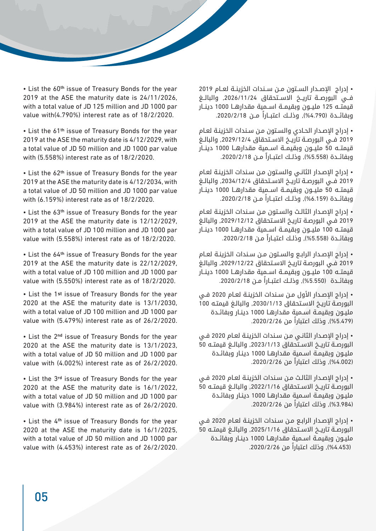• List the 60<sup>th</sup> issue of Treasury Bonds for the year 2019 at the ASE the maturity date is  $24/11/2026$ , with a total value of JD 125 million and JD 1000 par value with $(4.790\%)$  interest rate as of  $18/2/2020$ .

• List the 61<sup>th</sup> issue of Treasury Bonds for the year 2019 at the ASE the maturity date is  $4/12/2029$ , with a total value of JD 50 million and JD 1000 par value with  $(5.558\%)$  interest rate as of  $18/2/2020$ .

• List the 62<sup>th</sup> issue of Treasury Bonds for the year 2019 at the ASE the maturity date is 4/12/2034, with a total value of JD 50 million and JD 1000 par value with  $(6.159\%)$  interest rate as of  $18/2/2020$ .

• List the 63<sup>th</sup> issue of Treasury Bonds for the year 2019 at the ASE the maturity date is  $12/12/2029$ . with a total value of JD 100 million and JD 1000 par value with  $(5.558%)$  interest rate as of  $18/2/2020$ .

• List the 64<sup>th</sup> issue of Treasury Bonds for the year 2019 at the ASE the maturity date is  $22/12/2029$ , with a total value of JD 100 million and JD 1000 par value with  $(5.550\%)$  interest rate as of  $18/2/2020$ .

• List the 1st issue of Treasury Bonds for the year 2020 at the ASE the maturity date is  $13/1/2030$ , with a total value of JD 100 million and JD 1000 par value with  $(5.479%)$  interest rate as of  $26/2/2020$ .

• List the 2<sup>nd</sup> issue of Treasury Bonds for the year 2020 at the ASE the maturity date is  $13/1/2023$ . with a total value of JD 50 million and JD 1000 par value with  $(4.002\%)$  interest rate as of  $26/2/2020$ .

• List the 3<sup>rd</sup> issue of Treasury Bonds for the year 2020 at the ASE the maturity date is  $16/1/2022$ , with a total value of JD 50 million and JD 1000 par value with  $(3.984\%)$  interest rate as of  $26/2/2020$ .

• List the 4<sup>th</sup> issue of Treasury Bonds for the year 2020 at the ASE the maturity date is  $16/1/2025$ , with a total value of JD 50 million and JD 1000 par value with  $(4.453%)$  interest rate as of  $26/2/2020$ .

• إدراج اإلصــدار الســتون مــن ســندات الخزينــة لعــام 2019 فــي البورصــة تاريــخ االســتحقاق ,2026/11/24 والبالــغ قيمتــه 125 مليــون وبقيمــة اســمية مقدارهــا 1000 دينــار وبفائــدة (4.790), وذلـك اعتبــاراً مــن 2020/2/18.

• إدراج اإلصـدار الحـادي والسـتون مـن سـندات الخزينـة لعـام 2019 فــي البورصــة تاريــخ االســتحقاق ,2029/12/4 والبالــغ قيمتــه 50 مليــون وبقيمــة اســمية مقدارهــا 1000 دينــار وبفائــدة (5.558%), وذلــك اعتبــاراً مــن 2020/2/18.

• إدراج اإلصـدار الثانـي والسـتون مـن سـندات الخزينـة لعـام 2019 فــي البورصــة تاريــخ االســتحقاق ,2034/12/4 والبالــغ قيمتــه 50 مليــون وبقيمــة اســمية مقدارهــا 1000 دينــار وبفائــدة (6.159%), وذلــك اعتبــاراً مــن 2020/2/18.

• إدراج اإلصـدار الثالـث والسـتون مـن سـندات الخزينـة لعـام 2019 فـي البورصـة تاريـخ االسـتحقاق ,2029/12/12 والبالـغ قيمتــه 100 مليــون وبقيمــة اســمية مقدارهــا 1000 دينــار وبفائـدة (5.558%), وذلـك اعتبـاراً مـن 2020/2/18.

• إدراج اإلصـدار الرابـع والسـتون مـن سـندات الخزينـة لعـام 2019 فـي البورصـة تاريـخ االسـتحقاق ,2029/12/22 والبالـغ قيمتــه 100 مليــون وبقيمــة اســمية مقدارهــا 1000 دينــار وبفائــدة (5.550%), وذلـك اعتبــاراً مــن 2020/2/18.

• إدراج اإلصـدار األول مـن سـندات الخزينـة لعـام 2020 فـي البورصـة تاريـخ االسـتحقاق ,2030/1/13 والبالـغ قيمتـه 100 مليـون وبقيمـة اسـمية مقدارهـا 1000 دينـار وبفائـدة (5.479%), وذلك اعتباراً من 2020/2/26.

• إدراج اإلصـدار الثانـي مـن سـندات الخزينـة لعـام 2020 فـي البورصــة تاريــخ االســتحقاق ,2023/1/13 والبالــغ قيمتــه 50 مليـون وبقيمـة اسـمية مقدارهـا 1000 دينـار وبفائـدة )%4.002(, ً وذلك اعتبارا من .2020/2/26

• إدراج اإلصـدار الثالـث مـن سـندات الخزينـة لعـام 2020 فـي البورصــة تاريــخ االســتحقاق ,2022/1/16 والبالــغ قيمتــه 50 مليـون وبقيمـة اسـمية مقدارهـا 1000 دينـار وبفائـدة )%3.984(, ً وذلك اعتبارا من .2020/2/26

• إدراج اإلصـدار الرابـع مـن سـندات الخزينـة لعـام 2020 فـي البورصــة تاريــخ االســتحقاق ,2025/1/16 والبالــغ قيمتــه 50 مليـون وبقيمـة اسـمية مقدارهـا 1000 دينـار وبفائـدة (4.453%), وذلك اعتباراً من 2020/2/26.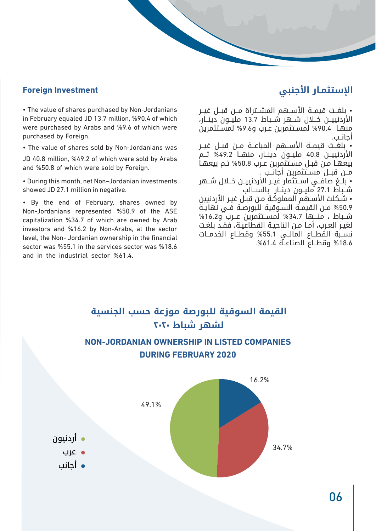#### **Foreign Investment**

• The value of shares purchased by Non-Jordanians in February equaled JD 13.7 million, %90.4 of which were purchased by Arabs and %9.6 of which were purchased by Foreign.

• The value of shares sold by Non-Jordanians was

JD 40.8 million, %49.2 of which were sold by Arabs and %50.8 of which were sold by Foreign.

• During this month, net Non-Jordanian investments showed JD 27.1 million in negative.

• By the end of February, shares owned by Non-Jordanians represented %50.9 of the ASE capitalization %34.7 of which are owned by Arab investors and %16.2 by Non-Arabs, at the sector level, the Non- Jordanian ownership in the financial sector was  $%55.1$  in the services sector was  $%18.6$ and in the industrial sector  $%61.4.$ 

## **اإلستثمـار األجنبي**

• بلغــت قيمــة األســهم المشــتراة مــن قبــل غيــر الأردنييــن خــلال شــهر شــباط 13.7 مليــون دينــار، منهـا %90.4 لمسـتثمرين عـرب و%9.6 لمسـتثمرين أجانــب.

• بلغــت قيمــة الأســهم المباعــة مــن قبــل غيــر األردنييــن 40.8 مليــون دينــار، منهــا %49.2 تــم بيعهـا مـن قبـل مسـتثمرين عـرب %50.8 تـم بيعهـا مــن قبــل مســتثمرين أجانــب .

• بلــغ صافــي اســتثمار غيــر األردنييــن خــال شــهر شــباط 27.1 مليــون دينــار بالســالب

• شـكلت األسـهم المملوكـة مـن قبـل غيـر األردنيين %50.9 مــن القيمــة الســوقية للبورصــة فــي نهايــة شــباط ، منـــها %34.7 لمســتثمرين عــرب و%16.2 لغيـر العـرب، أمـا مـن الناحيـة القطاعيـة، فقـد بلغـت نســبة القطــاع المالــي %55.1 وقطــاع الخدمــات %18.6 وقطــاع الصناعــة .%61.4

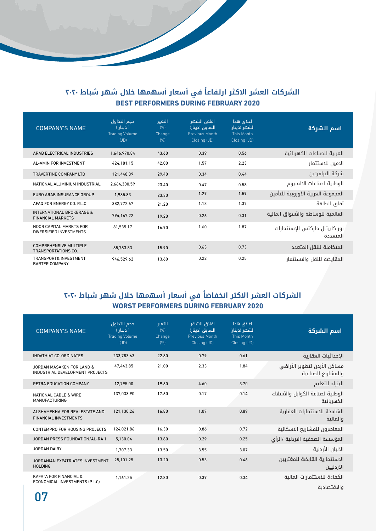#### **ً الشركات العشر االكثر ارتفاعا في أسعار أسهمها خالل شهر شباط 2020 BEST PERFORMERS DURING FEBRUARY 2020**

| <b>COMPANY'S NAME</b>                                            | حجم التداول<br>( دینار )<br><b>Trading Volume</b><br>(JD) | التغير<br>(% )<br>Change<br>(% ) | اغلاق الشهر<br>السابق (دینار)<br><b>Previous Month</b><br>Closing (JD) | اغلاق هذا<br>الشهر (دینار)<br><b>This Month</b><br>Closing (JD) | اسم الشركة                                 |
|------------------------------------------------------------------|-----------------------------------------------------------|----------------------------------|------------------------------------------------------------------------|-----------------------------------------------------------------|--------------------------------------------|
| ARAB ELECTRICAL INDUSTRIES                                       | 1.646.970.84                                              | 43.60                            | 0.39                                                                   | 0.56                                                            | العربية للصناعات الكهربائية                |
| AL-AMIN FOR INVESTMENT                                           | 424.181.15                                                | 42.00                            | 1.57                                                                   | 2.23                                                            | الامين للاستثمار                           |
| TRAVERTINE COMPANY LTD                                           | 121.448.39                                                | 29.40                            | 0.34                                                                   | 0.44                                                            | شركة الترافرتين                            |
| NATIONAL ALUMINIUM INDUSTRIAL                                    | 2.664.300.59                                              | 23.40                            | 0.47                                                                   | 0.58                                                            | الوطنية لصناعات الالمنيوم                  |
| EURO ARAB INSURANCE GROUP                                        | 1.985.83                                                  | 23.30                            | 1.29                                                                   | 1.59                                                            | المجموعة العربية الأوروبية للتأمين         |
| AFAQ FOR ENERGY CO. P.L.C                                        | 382.772.67                                                | 21.20                            | 1.13                                                                   | 1.37                                                            | آفاق للطاقة                                |
| <b>INTERNATIONAL BROKERAGE &amp;</b><br><b>FINANCIAL MARKETS</b> | 794.167.22                                                | 19.20                            | 0.26                                                                   | 0.31                                                            | العالمية للوساطة والأسواق المالية          |
| NOOR CAPITAL MARKTS FOR<br>DIVERSIFIED INVESTMENTS               | 81,535.17                                                 | 16.90                            | 1.60                                                                   | 1.87                                                            | نور كابيتال ماركتس للإستثمارات<br>المتعددة |
| <b>COMPREHENSIVE MULTIPLE</b><br><b>TRANSPORTATIONS CO.</b>      | 85.783.83                                                 | 15.90                            | 0.63                                                                   | 0.73                                                            | المتكاملة للنقل المتعدد                    |
| <b>TRANSPORT&amp; INVESTMENT</b><br><b>BARTER COMPANY</b>        | 946.529.62                                                | 13.60                            | 0.22                                                                   | 0.25                                                            | المقايضة للنقل والاستثمار                  |

## **ً الشركات العشر االكثر انخفاضا في أسعار أسهمها خالل شهر شباط 2020 2020 FEBRUARY 2020**

| <b>COMPANY'S NAME</b>                                                | حجم التداول<br>( دینار )<br><b>Trading Volume</b><br>(JD) | التغىر<br>(% )<br>Change<br>(% ) | اغلاق الشهر<br>السابق (دينار)<br><b>Previous Month</b><br>Closing (JD) | اغلاق هذا<br>الشهر (دينار)<br>This Month<br>Closing (JD) | اسم الشركة                                        |
|----------------------------------------------------------------------|-----------------------------------------------------------|----------------------------------|------------------------------------------------------------------------|----------------------------------------------------------|---------------------------------------------------|
| <b>IHDATHIAT CO-ORDINATES</b>                                        | 233.783.63                                                | 22.80                            | 0.79                                                                   | 0.61                                                     | الإحداثيات العقارية                               |
| JORDAN MASAKEN FOR LAND &<br>INDUSTRIAL DEVELOPMENT PROJECTS         | 47.443.85                                                 | 21.00                            | 2.33                                                                   | 1.84                                                     | مساكن الأردن لتطوير الأراضي<br>والمشاريع الصناعية |
| PETRA EDUCATION COMPANY                                              | 12.795.00                                                 | 19.60                            | 4.60                                                                   | 3.70                                                     | البتراء للتعليم                                   |
| <b>NATIONAL CABLE &amp; WIRE</b><br><b>MANUFACTURING</b>             | 137.033.90                                                | 17.60                            | 0.17                                                                   | 0.14                                                     | الوطنية لصناعة الكوابل والأسلاك<br>الكهربائية     |
| ALSHAMEKHA FOR REALESTATE AND<br><b>FINANCIAL INVESTMENTS</b>        | 121.130.26                                                | 16.80                            | 1.07                                                                   | 0.89                                                     | الشامخة للاستثمارات العقارية<br>والمالية          |
| CONTEMPRO FOR HOUSING PROJECTS                                       | 124.021.86                                                | 16.30                            | 0.86                                                                   | 0.72                                                     | المعاصرون للمشاريع الاسكانية                      |
| JORDAN PRESS FOUNDATION/AL-RA`I                                      | 5.130.04                                                  | 13.80                            | 0.29                                                                   | 0.25                                                     | المؤسسة الصحفية الاردنية /الرأى                   |
| JORDAN DAIRY                                                         | 1.707.33                                                  | 13.50                            | 3.55                                                                   | 3.07                                                     | الآلبان الأردنية                                  |
| JORDANIAN EXPATRIATES INVESTMENT<br><b>HOLDING</b>                   | 25.101.25                                                 | 13.20                            | 0.53                                                                   | 0.46                                                     | الاستثمارية القابضة للمغتربين<br>الاردنيين        |
| <b>KAFA' A FOR FINANCIAL &amp;</b><br>ECONOMICAL INVESTMENTS (P.L.C) | 1,161.25                                                  | 12.80                            | 0.39                                                                   | 0.34                                                     | الكفاءة للاستثمارات المالية<br>والاقتصادىة        |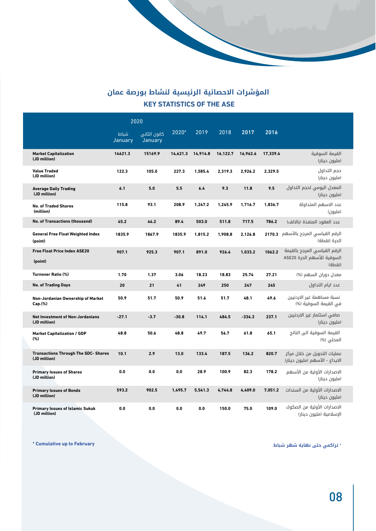#### **المؤشرات االحصائية الرئيسية لنشاط بورصة عمان KEY STATISTICS OF THE ASE**

|                                                             | 2020            |                         |          |          |          |          |          |                                                                      |  |
|-------------------------------------------------------------|-----------------|-------------------------|----------|----------|----------|----------|----------|----------------------------------------------------------------------|--|
|                                                             | شىاط<br>January | كانون الثاني<br>January | 2020*    | 2019     | 2018     | 2017     | 2016     |                                                                      |  |
| <b>Market Capitalization</b><br>(JD million)                | 14621.3         | 15169.9                 | 14,621.3 | 14,914.8 | 16,122.7 | 16,962.6 | 17,339.4 | القيمة السوقية<br>(مليون دينار)                                      |  |
| <b>Value Traded</b><br>(JD million)                         | 122.3           | 105.0                   | 227.3    | 1.585.4  | 2.319.3  | 2.926.2  | 2.329.5  | حجم التداول<br>(مليون دينار)                                         |  |
| <b>Average Daily Trading</b><br>(JD million)                | 6.1             | 5.0                     | 5.5      | 6.4      | 9.3      | 11.8     | 9.5      | المعدل اليومى لحجم التداول<br>(مليون دينار)                          |  |
| <b>No. of Traded Shares</b><br>(million)                    | 115.8           | 93.1                    | 208.9    | 1,247.2  | 1.245.9  | 1,716.7  | 1,836.7  | عدد الاسهم المتداولة<br>(مليون)                                      |  |
| <b>No. of Transactions (thousand)</b>                       | 45.2            | 44.2                    | 89.4     | 503.0    | 511.8    | 717.5    | 786.2    | عدد العقود المنفذة (بالالف)                                          |  |
| <b>General Free Float Weighted Index</b><br>(point)         | 1835.9          | 1867.9                  | 1835.9   | 1,815.2  | 1,908.8  | 2,126.8  |          | الرقم القياسي المرجح بالأسهم 2170.3<br>الحرة (نقطة)                  |  |
| <b>Free Float Price Index ASE20</b><br>(point)              | 907.1           | 925.3                   | 907.1    | 891.0    | 926.4    | 1,033.2  | 1062.2   | الرقم القياسي المرجح بالقيمة<br>السوقية للأسهم الحرة ASE20<br>(نقطة) |  |
| <b>Turnover Ratio (%)</b>                                   | 1.70            | 1.37                    | 3.06     | 18.23    | 18.83    | 25.74    | 27.21    | معدل دوران السهم (%)                                                 |  |
| <b>No. of Trading Days</b>                                  | 20              | 21                      | 41       | 249      | 250      | 247      | 245      | عدد ايام التداول                                                     |  |
| Non-Jordanian Ownership of Market<br>Cap.(%)                | 50.9            | 51.7                    | 50.9     | 51.6     | 51.7     | 48.1     | 49.6     | نسبة مساهمة غير الاردنيين<br>في القيمة السوقية (%)                   |  |
| <b>Net Investment of Non-Jordanians</b><br>(JD million)     | $-27.1$         | $-3.7$                  | $-30.8$  | 114.1    | 484.5    | $-334.3$ | 237.1    | صافي استثمار غير الاردنيين<br>(مليون دينار)                          |  |
| <b>Market Capitalization / GDP</b><br>(%)                   | 48.8            | 50.6                    | 48.8     | 49.7     | 56.7     | 61.8     | 65.1     | القيمة السوقية الى الناتج<br>المحلي (%)                              |  |
| <b>Transactions Through The SDC- Shares</b><br>(JD million) | 10.1            | 2.9                     | 13.0     | 133.4    | 187.5    | 136.2    | 820.7    | عمليات التحويل من خلال مركز<br>الايداع - الأسهم (مليون دينار)        |  |
| <b>Primary Issues of Shares</b><br>(JD million)             | 0.0             | 0.0                     | 0.0      | 28.9     | 100.9    | 82.3     | 178.2    | الاصدارات الأولية من الأسهم<br>(مليون دينار)                         |  |
| <b>Primary Issues of Bonds</b><br>(JD million)              | 593.2           | 902.5                   | 1,495.7  | 5,541.3  | 4,744.8  | 4,409.0  | 7,051.2  | الاصدارات الأولية من السندات<br>(مليون دينار)                        |  |
| <b>Primary Issues of Islamic Sukuk</b><br>(JD million)      | 0.0             | 0.0                     | 0.0      | 0.0      | 150.0    | 75.0     | 109.0    | الاصدارات الأولية من الصكوك<br>الإسلامية (مليون دينار)               |  |

\* **تراكمي حتى نهاية شهر شباط**

 $*$  Cumulative up to February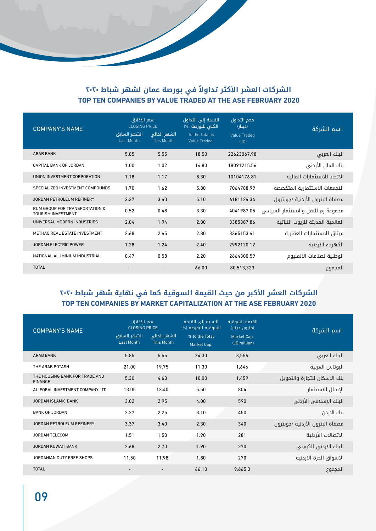#### **ً الشركات العشر األكثر تداوال في بورصة عمان لشهر شباط 2020** TOP TEN COMPANIES BY VALUE TRADED AT THE ASE FEBRUARY 2020

| <b>COMPANY'S NAME</b>                                                  | سعر الإغلاق<br><b>CLOSING PRICE</b> |                            | النسبة إلى التداول<br>الكلى للبورصة (%) | حجم التداول<br>(دینار)      | اسم الشركة                         |
|------------------------------------------------------------------------|-------------------------------------|----------------------------|-----------------------------------------|-----------------------------|------------------------------------|
|                                                                        | الشهر السابق<br>Last Month          | الشهر الحالي<br>This Month | To the Total %<br><b>Value Traded</b>   | <b>Value Traded</b><br>(JD) |                                    |
| <b>ARAB BANK</b>                                                       | 5.85                                | 5.55                       | 18.50                                   | 22623067.98                 | البنك العربى                       |
| CAPITAL BANK OF JORDAN                                                 | 1.00                                | 1.02                       | 14.80                                   | 18091215.56                 | بنك المال الأردنى                  |
| UNION INVESTMENT CORPORATION                                           | 1.18                                | 1.17                       | 8.30                                    | 10104176.81                 | الاتحاد للاستثمارات المالية        |
| SPECIALIZED INVESTMENT COMPOUNDS                                       | 1.70                                | 1.62                       | 5.80                                    | 7064788.99                  | التجمعات الاستثمارية المتخصصة      |
| JORDAN PETROLEUM REFINERY                                              | 3.37                                | 3.40                       | 5.10                                    | 6181124.34                  | مصفاة البترول الأردنية /جوبترول    |
| <b>RUM GROUP FOR TRANSPORTATION &amp;</b><br><b>TOURISM INVESTMENT</b> | 0.52                                | 0.48                       | 3.30                                    | 4041987.05                  | مجموعة رم للنقل والاستثمار السياحي |
| UNIVERSAL MODERN INDUSTRIES                                            | 2.04                                | 1.94                       | 2.80                                    | 3385387.86                  | العالمية الحديثة للزيوت النباتية   |
| METHAQ REAL ESTATE INVESTMENT                                          | 2.68                                | 2.45                       | 2.80                                    | 3365153.41                  | ميثاق للاستثمارات العقارية         |
| <b>JORDAN ELECTRIC POWER</b>                                           | 1.28                                | 1.24                       | 2.40                                    | 2992120.12                  | الكهرباء الاردنية                  |
| NATIONAL ALUMINIUM INDUSTRIAL                                          | 0.47                                | 0.58                       | 2.20                                    | 2664300.59                  | الوطنية لصناعات الالمنيوم          |
| <b>TOTAL</b>                                                           |                                     |                            | 66.00                                   | 80,513,323                  | المجموع                            |

#### **الشركات العشر األكبر من حيث القيمة السوقية كما في نهاية شهر شباط 2020 2020** TOP TEN COMPANIES BY MARKET CAPITALIZATION AT THE ASE FEBRUARY 2020

| <b>COMPANY'S NAME</b>                            | سعر الإغلاق<br><b>CLOSING PRICE</b><br>الشهر السابق<br><b>Last Month</b> | الشهر الحالى<br><b>This Month</b> | النسبة إلى القيمة<br>السوقية للبورصة (%)<br>% to the Total<br>Market Cap. |         | اسم الشركة                      |
|--------------------------------------------------|--------------------------------------------------------------------------|-----------------------------------|---------------------------------------------------------------------------|---------|---------------------------------|
| <b>ARAB BANK</b>                                 | 5.85                                                                     | 5.55                              | 24.30                                                                     | 3,556   | البنك العربى                    |
| THE ARAB POTASH                                  | 21.00                                                                    | 19.75                             | 11.30                                                                     | 1,646   | البوتاس العربية                 |
| THE HOUSING BANK FOR TRADE AND<br><b>FINANCE</b> | 5.30                                                                     | 4.63                              | 10.00                                                                     | 1,459   | بنك الاسكان للتجارة والتمويل    |
| AL-EQBAL INVESTMENT COMPANY LTD                  | 13.05                                                                    | 13.40                             | 5.50                                                                      | 804     | الإقبال للاستثمار               |
| <b>JORDAN ISLAMIC BANK</b>                       | 3.02                                                                     | 2.95                              | 4.00                                                                      | 590     | البنك الإسلامي الأردنى          |
| <b>BANK OF JORDAN</b>                            | 2.27                                                                     | 2.25                              | 3.10                                                                      | 450     | بنك الاردن                      |
| <b>JORDAN PETROLEUM REFINERY</b>                 | 3.37                                                                     | 3.40                              | 2.30                                                                      | 340     | مصفاة البترول الأردنية /جوبترول |
| <b>JORDAN TELECOM</b>                            | 1.51                                                                     | 1.50                              | 1.90                                                                      | 281     | الاتصالات الأردنية              |
| <b>JORDAN KUWAIT BANK</b>                        | 2.68                                                                     | 2.70                              | 1.90                                                                      | 270     | البنك الاردني الكويتي           |
| <b>JORDANIAN DUTY FREE SHOPS</b>                 | 11.50                                                                    | 11.98                             | 1.80                                                                      | 270     | الاسواق الحرة الاردنية          |
| <b>TOTAL</b>                                     |                                                                          |                                   | 66.10                                                                     | 9.665.3 | المجموع                         |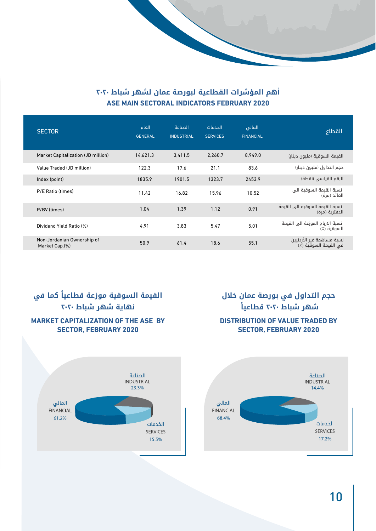#### **أهم المؤشرات القطاعية لبورصة عمان لشهر شباط 2020 2020 ASE MAIN SECTORAL INDICATORS FEBRUARY 2020**

| <b>SECTOR</b>                                | العام<br><b>GENERAL</b> | الصناعة<br><b>INDUSTRIAL</b> | الخدمات<br><b>SERVICES</b> | المالى<br><b>FINANCIAL</b> | القطاع                                             |
|----------------------------------------------|-------------------------|------------------------------|----------------------------|----------------------------|----------------------------------------------------|
| Market Capitalization (JD million)           | 14.621.3                | 3,411.5                      | 2.260.7                    | 8.949.0                    | القيمة السوقية (مليون دينار)                       |
| Value Traded (JD million)                    | 122.3                   | 17.6                         | 21.1                       | 83.6                       | حجم التداول (مليون دينار)                          |
| Index (point)                                | 1835.9                  | 1901.5                       | 1323.7                     | 2453.9                     | الرقم القياسي (نقطة)                               |
| P/E Ratio (times)                            | 11.42                   | 16.82                        | 15.96                      | 10.52                      | نسبة القيمة السوقية الى<br>العائد (مرة)            |
| P/BV (times)                                 | 1.04                    | 1.39                         | 1.12                       | 0.91                       | نسبة القيمة السوقية الى القيمة<br>الدفترية (مرة)   |
| Dividend Yield Ratio (%)                     | 4.91                    | 3.83                         | 5.47                       | 5.01                       | نسبة الارباح الموزعة الى القيمة<br>السوقية (٪)     |
| Non-Jordanian Ownership of<br>Market Cap.(%) | 50.9                    | 61.4                         | 18.6                       | 55.1                       | نسبة مساهمة غير الأردنيين<br>في القيمة السوقية (٪) |

#### **ً القيمة السوقية موزعة قطاعيا كما في نهاية شهر شباط 2020 MARKET CAPITALIZATION OF THE ASE BY 2020 SECTOR, FEBRUARY 2020**



## **حجم التداول في بورصة عمان خالل شهر شباط 2020 ً قطاعيا DISTRIBUTION OF VALUE TRADED BY 2020 SECTOR, FEBRUARY 2020**

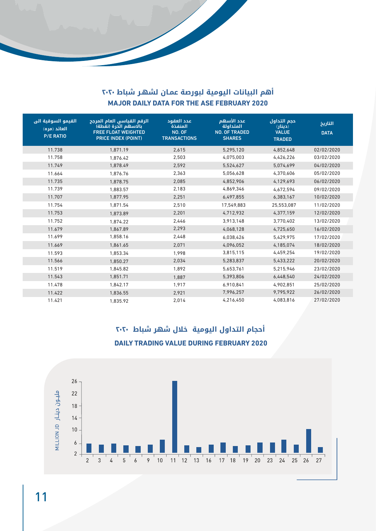#### **أهم البيانات اليومية لبورصة عمـان لشهـر شباط 2020 MAJOR DAILY DATA FOR THE ASE FEBRUARY 2020**

| القيمو السوقية الى<br>العائد (مره)<br><b>P/E RATIO</b> | الرقم القياسي العام المرجح<br>بالاسهم الحرة (نقطة)<br><b>FREE FLOAT WEIGHTED</b><br><b>PRICE INDEX (POINT)</b> | عدد العقود<br>المنفذة<br>NO. OF<br><b>TRANSACTIONS</b> | عدد الأسهم<br>المتداولة<br><b>NO. OF TRADED</b><br><b>SHARES</b> | حجم التداول<br>(دینار)<br><b>VALUE</b><br><b>TRADED</b> | التاريخ<br><b>DATA</b> |
|--------------------------------------------------------|----------------------------------------------------------------------------------------------------------------|--------------------------------------------------------|------------------------------------------------------------------|---------------------------------------------------------|------------------------|
| 11.738                                                 | 1,871.19                                                                                                       | 2,615                                                  | 5,295,120                                                        | 4,852,648                                               | 02/02/2020             |
| 11.758                                                 | 1,876.42                                                                                                       | 2,503                                                  | 4,075,003                                                        | 4,426,226                                               | 03/02/2020             |
| 11.749                                                 | 1.878.49                                                                                                       | 2.592                                                  | 5,524,627                                                        | 5,074,699                                               | 04/02/2020             |
| 11.664                                                 | 1,876.76                                                                                                       | 2,363                                                  | 5,056,628                                                        | 4,370,606                                               | 05/02/2020             |
| 11.735                                                 | 1,878.75                                                                                                       | 2,085                                                  | 4,852,906                                                        | 4,129,693                                               | 06/02/2020             |
| 11.739                                                 | 1,883.57                                                                                                       | 2,183                                                  | 4,869,346                                                        | 4,672,594                                               | 09/02/2020             |
| 11.707                                                 | 1,877.95                                                                                                       | 2,251                                                  | 6,497,855                                                        | 6,383,167                                               | 10/02/2020             |
| 11.754                                                 | 1,871.54                                                                                                       | 2,510                                                  | 17,549,883                                                       | 25,553,087                                              | 11/02/2020             |
| 11.753                                                 | 1,873.89                                                                                                       | 2,201                                                  | 4,712,932                                                        | 4,377,159                                               | 12/02/2020             |
| 11.752                                                 | 1,874.22                                                                                                       | 2,446                                                  | 3,913,148                                                        | 3,770,402                                               | 13/02/2020             |
| 11.679                                                 | 1,867.89                                                                                                       | 2,293                                                  | 4,068,128                                                        | 4,725,650                                               | 16/02/2020             |
| 11.699                                                 | 1,858.16                                                                                                       | 2,448                                                  | 6,038,426                                                        | 5,429,975                                               | 17/02/2020             |
| 11.669                                                 | 1,861.65                                                                                                       | 2,071                                                  | 4,096,052                                                        | 4,185,074                                               | 18/02/2020             |
| 11.593                                                 | 1,853.34                                                                                                       | 1,998                                                  | 3,815,115                                                        | 4,459,254                                               | 19/02/2020             |
| 11.566                                                 | 1,850.27                                                                                                       | 2,034                                                  | 5,283,837                                                        | 5,433,222                                               | 20/02/2020             |
| 11.519                                                 | 1,845.82                                                                                                       | 1,892                                                  | 5,653,761                                                        | 5,215,946                                               | 23/02/2020             |
| 11.543                                                 | 1,851.71                                                                                                       | 1,887                                                  | 5,393,806                                                        | 6,448,540                                               | 24/02/2020             |
| 11.478                                                 | 1,842.17                                                                                                       | 1,917                                                  | 6,910,841                                                        | 4,902,851                                               | 25/02/2020             |
| 11.422                                                 | 1,836.55                                                                                                       | 2,921                                                  | 7,996,257                                                        | 9,795,922                                               | 26/02/2020             |
| 11.421                                                 | 1.835.92                                                                                                       | 2,014                                                  | 4,216,450                                                        | 4,083,816                                               | 27/02/2020             |

**DAILY TRADING VALUE DURING FEBRUARY 2020**  $26 -$ ملیـون دینـار JulLLION 9  $22$  $18 14 10 6 2<sup>1</sup>$  $\overline{2}$  $\overline{3}$  $\overline{4}$ 

# **أحجام التداول اليومية خالل شهر شباط 2020**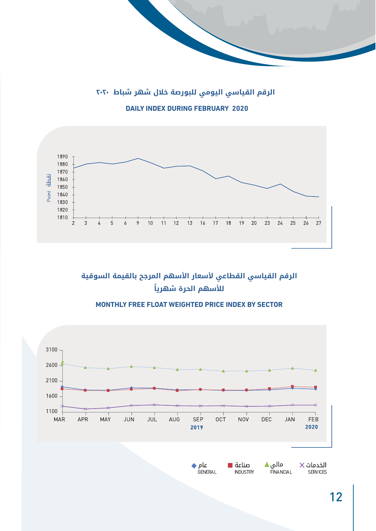**الرقم القياسي اليومي للبورصة خالل شهر شباط 2020 DAILY INDEX DURING FEBRUARY 2020** 



الرقم القياسي القطاعي لأسعار الأسهم المرجح بالقيمة السوقية **ً لألسهم الحرة شهريا**

#### **MONTHLY FREE FLOAT WEIGHTED PRICE INDEX BY SECTOR**



12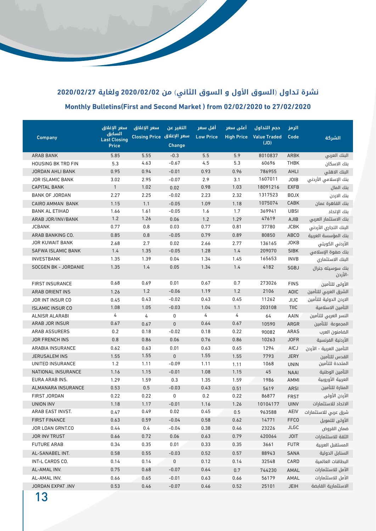# **نشرة تداول** )**السوق األول و السوق الثاني**( **من 2020/02/02 ولغاية 2020/02/27 27/02/2020 Monthly Bulletins (First and Second Market) from 02/02/2020 to 27/02/2020**

|                                                | سعر الإغلاق                   | سعر الإغلاق               | التغير عن            | أقل سعر          | أعلى سعر          | حجم التداول         | الرمز               |                                        |
|------------------------------------------------|-------------------------------|---------------------------|----------------------|------------------|-------------------|---------------------|---------------------|----------------------------------------|
| <b>Company</b>                                 | السابق<br><b>Last Closing</b> | سعر الإغلاق Closing Price |                      | <b>Low Price</b> | <b>High Price</b> | <b>Value Traded</b> | Code                | الشركة                                 |
|                                                | <b>Price</b>                  |                           | Change               |                  |                   | (JD)                |                     |                                        |
| <b>ARAB BANK</b>                               | 5.85                          | 5.55                      | $-0.3$               | 5.5              | 5.9               | 8010837             | <b>ARBK</b>         | البنك العربى                           |
| <b>HOUSING BK TRD FIN</b>                      | 5.3                           | 4.63                      | $-0.67$              | 4.5              | 5.3               | 60696               | <b>THBK</b>         | بنك الاسكان                            |
| <b>JORDAN AHLI BANK</b>                        | 0.95                          | 0.94                      | $-0.01$              | 0.93             | 0.96              | 786955              | <b>AHLI</b>         | البنك الاهلى                           |
| <b>JOR ISLAMIC BANK</b>                        | 3.02                          | 2.95                      | $-0.07$              | 2.9              | 3.1               | 1607011             | <b>JOIB</b>         | بنك الإسلامي الأردنى                   |
| <b>CAPITAL BANK</b>                            | $\mathbf{1}$                  | 1.02                      | 0.02                 | 0.98             | 1.03              | 18091216            | <b>EXFB</b>         | بنك المال                              |
| <b>BANK OF JORDAN</b>                          | 2.27                          | 2.25                      | $-0.02$              | 2.23             | 2.32              | 1317523             | <b>BOJX</b>         | بنك الاردن                             |
| <b>CAIRO AMMAN BANK</b>                        | 1.15                          | 1.1                       | $-0.05$              | 1.09             | 1.18              | 1075074             | CABK                | بنك القاهرة عمان                       |
| <b>BANK AL ETIHAD</b>                          | 1.66                          | 1.61                      | $-0.05$              | 1.6              | 1.7               | 369941              | <b>UBSI</b>         | بنك الإتحاد                            |
| ARAB JOR/INV/BANK                              | 1.2                           | 1.26                      | 0.06                 | 1.2              | 1.29              | 47619               | <b>AJIB</b>         | بنك الاستثمار العربى                   |
| <b>JCBANK</b>                                  | 0.77                          | 0.8                       | 0.03                 | 0.77             | 0.81              | 37780               | <b>JCBK</b>         | البنك التجاري الأردني                  |
| ARAB BANKING CO.                               | 0.85                          | $0.8\,$                   | $-0.05$              | 0.79             | 0.89              | 80850               | ABCO                | بنك المؤسسة العربية                    |
| <b>JOR KUWAIT BANK</b>                         | 2.68                          | 2.7                       | 0.02                 | 2.66             | 2.77              | 136165              | <b>JOKB</b>         | الأردني الكويتي                        |
| <b>SAFWA ISLAMIC BANK</b>                      | 1.4                           | 1.35                      | $-0.05$              | 1.28             | 1.4               | 209070              | <b>SIBK</b>         | بنك صفوة الإسلامى                      |
| <b>INVESTBANK</b>                              | 1.35                          | 1.39                      | 0.04                 | 1.34             | 1.45              | 165653              | <b>INVB</b>         | البنك الاستثمارى                       |
| SOCGEN BK - JORDANIE                           | 1.35                          | 1.4                       | 0.05                 | 1.34             | 1.4               | 4182                | SGBJ                | بنك سوسيته جنرال<br>-الأردن            |
| <b>FIRST INSURANCE</b>                         | 0.68                          | 0.69                      | 0.01                 | 0.67             | 0.7               | 273026              | <b>FINS</b>         |                                        |
|                                                |                               | 1.2                       | $-0.06$              | 1.19             | 1.2               | 2106                |                     | الأولى للتأمين<br>الشرق العربى للتأمين |
| <b>ARAB ORIENT INS</b>                         | 1.26                          | 0.43                      | $-0.02$              | 0.43             | 0.45              | 11262               | <b>AOIC</b>         | الاردن الدولية للتأمين                 |
| JOR INT INSUR CO                               | 0.45<br>1.08                  | 1.05                      | $-0.03$              | 1.04             | 1.1               | 203108              | JIJC<br><b>TIIC</b> | التأمين الاسلامية                      |
| <b>ISLAMIC INSUR CO</b>                        | 4                             |                           | 0                    | 4                | 4                 |                     |                     |                                        |
| <b>ALNISR ALARABI</b><br><b>ARAB JOR INSUR</b> | 0.67                          | 4                         |                      | 0.64             | 0.67              | 64                  | AAIN                | النسر العربي للتأمين                   |
|                                                |                               | 0.67                      | $\pmb{0}$<br>$-0.02$ |                  |                   | 10590               | ARGR                | المجموعة للتأمين                       |
| <b>ARAB ASSURERS</b>                           | 0.2                           | 0.18                      |                      | 0.18             | 0.22              | 90082               | <b>ARAS</b>         | الضامنون العرب                         |
| <b>JOR FRENCH INS</b>                          | 0.8                           | 0.86                      | 0.06                 | 0.76             | 0.86              | 10263               | <b>JOFR</b>         | الأردنية الفرنسية                      |
| <b>ARABIA INSURANCE</b>                        | 0.62                          | 0.63                      | 0.01                 | 0.63             | 0.65              | 1294                | AICJ                | التأمين العربية - الأردن               |
| <b>JERUSALEM INS</b>                           | 1.55                          | 1.55                      | $\pmb{0}$            | 1.55             | 1.55              | 7793                | <b>JERY</b>         | القدس للتأمين                          |
| UNITED INSURANCE                               | 1.2                           | 1.11                      | $-0.09$              | 1.11             | 1.11              | 1068                | <b>UNIN</b>         | المتحدة للتأمين                        |
| NATIONAL INSURANCE                             | 1.16                          | 1.15                      | $-0.01$              | 1.08             | 1.15              | 45                  | <b>NAAI</b>         | التأمين الوطنية                        |
| EURA ARAB INS.                                 | 1.29                          | 1.59                      | 0.3                  | 1.35             | 1.59              | 1986                | AMMI                | العربية الأوروبية                      |
| <b>ALMANARA INSURANCE</b>                      | 0.53                          | 0.5                       | $-0.03$              | 0.43             | 0.51              | 5619                | ARSI                | المنارة للتأمين                        |
| <b>FIRST JORDAN</b>                            | 0.22                          | 0.22                      | 0                    | 0.2              | 0.22              | 86877               | <b>FRST</b>         | الأردن الأولى                          |
| UNION INV                                      | 1.18                          | 1.17                      | $-0.01$              | 1.16             | 1.26              | 10104177            | <b>UINV</b>         | الاتحاد للاستثمارات                    |
| ARAB EAST INVST.                               | 0.47                          | 0.49                      | 0.02                 | 0.45             | 0.5               | 963588              | AEIV                | شرق عربي للاستثمارات                   |
| <b>FIRST FINANCE</b>                           | 0.63                          | 0.59                      | $-0.04$              | 0.58             | 0.62              | 14771               | <b>FFCO</b>         | الأولى للتمويل                         |
| JOR LOAN GRNT.CO                               | 0.44                          | 0.4                       | $-0.04$              | 0.38             | 0.46              | 23226               | <b>JLGC</b>         | ضمان القروض                            |
| <b>JOR INV TRUST</b>                           | 0.66                          | 0.72                      | 0.06                 | 0.63             | 0.79              | 420064              | <b>JOIT</b>         | الثقة للاستثمارات                      |
| <b>FUTURE ARAB</b>                             | 0.34                          | 0.35                      | 0.01                 | 0.33             | 0.35              | 3661                | <b>FUTR</b>         | المستقبل العربية                       |
| AL-SANABEL INT.                                | 0.58                          | 0.55                      | $-0.03$              | 0.52             | 0.57              | 88943               | <b>SANA</b>         | السنابل الدولية                        |
| INT>L CARDS CO.                                | 0.14                          | 0.14                      | 0                    | 0.12             | 0.14              | 32548               | CARD                | البطاقات العالمية                      |
| AL-AMAL INV.                                   | 0.75                          | 0.68                      | $-0.07$              | 0.64             | 0.7               | 744230              | AMAL                | الأمل للاستثمارات                      |
| AL-AMAL INV.                                   | 0.66                          | 0.65                      | $-0.01$              | 0.63             | 0.66              | 56179               | AMAL                | الأمل للاستثمارات                      |
| JORDAN EXPAT .INV                              | 0.53                          | 0.46                      | $-0.07$              | 0.46             | 0.52              | 25101               | <b>JEIH</b>         | الاستثمارية القابضة                    |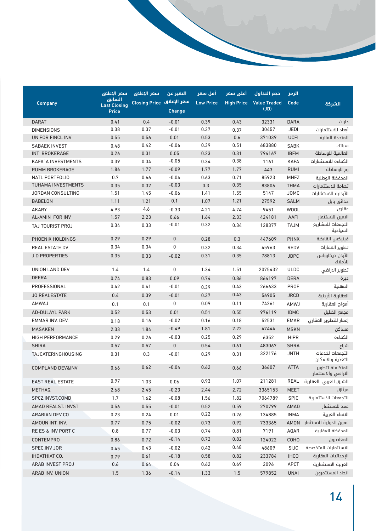|                           | سعر الإغلاق                   | سعر الإغلاق               | التغير عن     | أقل سعر          | أعلى سعر          | حجم التداول         | الرمز       |                                        |
|---------------------------|-------------------------------|---------------------------|---------------|------------------|-------------------|---------------------|-------------|----------------------------------------|
| <b>Company</b>            | السابق<br><b>Last Closing</b> | سعر الإغلاق Closing Price |               | <b>Low Price</b> | <b>High Price</b> | <b>Value Traded</b> | Code        | الشركة                                 |
|                           | Price                         |                           | <b>Change</b> |                  |                   | (JD)                |             |                                        |
| <b>DARAT</b>              | 0.41                          | 0.4                       | $-0.01$       | 0.39             | 0.43              | 32331               | <b>DARA</b> | دارات                                  |
| <b>DIMENSIONS</b>         | 0.38                          | 0.37                      | $-0.01$       | 0.37             | 0.37              | 30457               | <b>JEDI</b> | أبعاد للاستثمارات                      |
| UN FOR FINCL INV          | 0.55                          | 0.56                      | 0.01          | 0.53             | 0.6               | 371039              | <b>UCFI</b> | المتحدة المالية                        |
| <b>SABAEK INVEST</b>      | 0.48                          | 0.42                      | $-0.06$       | 0.39             | 0.51              | 683880              | <b>SABK</b> | سبائك                                  |
| <b>INT' BROKERAGE</b>     | 0.26                          | 0.31                      | 0.05          | 0.23             | 0.31              | 794167              | <b>IBFM</b> | العالمية للوساطة                       |
| <b>KAFA`A INVESTMENTS</b> | 0.39                          | 0.34                      | $-0.05$       | 0.34             | 0.38              | 1161                | <b>KAFA</b> | الكفاءة للاستثمارات                    |
| <b>RUMM BROKERAGE</b>     | 1.86                          | 1.77                      | $-0.09$       | 1.77             | 1.77              | 443                 | <b>RUMI</b> | رم للوساطة                             |
| <b>NATL PORTFOLIO</b>     | 0.7                           | 0.66                      | $-0.04$       | 0.63             | 0.71              | 85923               | <b>MHFZ</b> | المحفظة الوطنية                        |
| <b>TUHAMA INVESTMENTS</b> | 0.35                          | 0.32                      | $-0.03$       | 0.3              | 0.35              | 83806               | <b>THMA</b> | تهامة للاستثمارات                      |
| <b>JORDAN CONSULTING</b>  | 1.51                          | 1.45                      | $-0.06$       | 1.41             | 1.55              | 5147                | <b>JOMC</b> | الأردنية للاستشارات                    |
| <b>BABELON</b>            | 1.11                          | 1.21                      | 0.1           | 1.07             | 1.21              | 27592               | <b>SALM</b> | حدائق بابل                             |
| <b>AKARY</b>              | 4.93                          | 4.6                       | $-0.33$       | 4.21             | 4.74              | 9451                | <b>WOOL</b> | عقاري                                  |
| AL-AMIN FOR INV           | 1.57                          | 2.23                      | 0.66          | 1.64             | 2.33              | 424181              | AAFI        | الامين للاستثمار                       |
| TAJ TOURIST PROJ          | 0.34                          | 0.33                      | $-0.01$       | 0.32             | 0.34              | 128377              | <b>NLAT</b> | التجمعات للمشاريع<br>السياحية          |
| PHOENIX HOLDINGS          | 0.29                          | 0.29                      | $\pmb{0}$     | 0.28             | 0.3               | 447609              | <b>PHNX</b> | فينيكس القابضة                         |
| <b>REAL ESTATE DV</b>     | 0.34                          | 0.34                      | 0             | 0.32             | 0.34              | 45963               | <b>REDV</b> | تطوير العقارات                         |
| JD PROPERTIES             | 0.35                          | 0.33                      | $-0.02$       | 0.31             | 0.35              | 78813               | <b>JDPC</b> | الأردن ديكابولس<br>للأملاك             |
| <b>UNION LAND DEV</b>     | 1.4                           | 1.4                       | 0             | 1.34             | 1.51              | 2075432             | <b>ULDC</b> | تطوير الاراضي                          |
| <b>DEERA</b>              | 0.74                          | 0.83                      | 0.09          | 0.74             | 0.86              | 864197              | <b>DERA</b> | ديرة                                   |
| PROFESSIONAL              | 0.42                          | 0.41                      | $-0.01$       | 0.39             | 0.43              | 266633              | <b>PROF</b> | المهنية                                |
| <b>JO REALESTATE</b>      | 0.4                           | 0.39                      | $-0.01$       | 0.37             | 0.43              | 56905               | <b>JRCD</b> | العقارية الأردنية                      |
| <b>AMWAJ</b>              | 0.1                           | 0.1                       | 0             | 0.09             | 0.11              | 74261               | AMWJ        | أمواج العقارية                         |
| <b>AD-DULAYL PARK</b>     | 0.52                          | 0.53                      | 0.01          | 0.51             | 0.55              | 976119              | <b>IDMC</b> | مجمع الضليل                            |
| EMMAR INV. DEV.           | 0.18                          | 0.16                      | $-0.02$       | 0.16             | 0.18              | 52531               | <b>EMAR</b> | إعمار للتطوير العقارى                  |
| <b>MASAKEN</b>            | 2.33                          | 1.84                      | $-0.49$       | 1.81             | 2.22              | 47444               | <b>MSKN</b> | مساكن                                  |
| HIGH PERFORMANCE          | 0.29                          | 0.26                      | $-0.03$       | 0.25             | 0.29              | 6352                | <b>HIPR</b> | الكفاءة                                |
| <b>SHIRA</b>              | 0.57                          | 0.57                      | $\pmb{0}$     | 0.54             | 0.61              | 483067              | <b>SHRA</b> | شراع                                   |
| <b>TAJCATERINGHOUSING</b> | 0.31                          | 0.3                       | $-0.01$       | 0.29             | 0.31              | 322176              | <b>JNTH</b> | التجمعات لخدمات<br>التغذية والاسكان    |
| COMPLAND DEV&INV          | 0.66                          | 0.62                      | $-0.04$       | 0.62             | 0.66              | 36607               | <b>ATTA</b> | المتكاملة لتطوىر<br>الاراضي والاستثمار |
| <b>EAST REAL ESTATE</b>   | 0.97                          | 1.03                      | 0.06          | 0.93             | 1.07              | 211281              | REAL        | الشرق العربى العقارية                  |
| <b>METHAQ</b>             | 2.68                          | 2.45                      | $-0.23$       | 2.44             | 2.72              | 3365153             | <b>MEET</b> | ميثاق                                  |
| SPCZ.INVST.COMD           | 1.7                           | 1.62                      | $-0.08$       | 1.56             | 1.82              | 7064789             | SPIC        | التجمعات الاستثمارية                   |
| AMAD REALST. INVST        | 0.56                          | 0.55                      | $-0.01$       | 0.52             | 0.59              | 270799              | AMAD        | عمد للاستثمار                          |
| ARABIAN DEV CO            | 0.23                          | 0.24                      | 0.01          | 0.22             | 0.26              | 134885              | <b>INMA</b> | الانماء العربية                        |
| AMOUN INT. INV.           | 0.77                          | 0.75                      | $-0.02$       | 0.73             | 0.92              | 733365              | AMON        | عمون الدولية للاستثمار                 |
| RE ES & INV PORT C        | 0.8                           | 0.77                      | $-0.03$       | 0.74             | 0.81              | 7191                | AQAR        | المحفظة العقارية                       |
| <b>CONTEMPRO</b>          | 0.86                          | 0.72                      | $-0.14$       | 0.72             | 0.82              | 124022              | COHO        | المعاصرون                              |
| SPEC.INV JOR              | 0.45                          | 0.43                      | $-0.02$       | 0.42             | 0.48              | 48609               | SIJC        | الاستثمارات المتخصصة                   |
| <b>IHDATHIAT CO.</b>      | 0.79                          | 0.61                      | $-0.18$       | 0.58             | 0.82              | 233784              | <b>IHCO</b> | الإحداثيات العقارية                    |
| ARAB INVEST PROJ          | 0.6                           | 0.64                      | 0.04          | 0.62             | 0.69              | 2096                | APCT        | العربية الاستثمارية                    |
| ARAB INV. UNION           | 1.5                           | 1.36                      | $-0.14$       | 1.33             | 1.5               | 579852              | <b>UNAI</b> | اتحاد المستثمرون                       |
|                           |                               |                           |               |                  |                   |                     |             |                                        |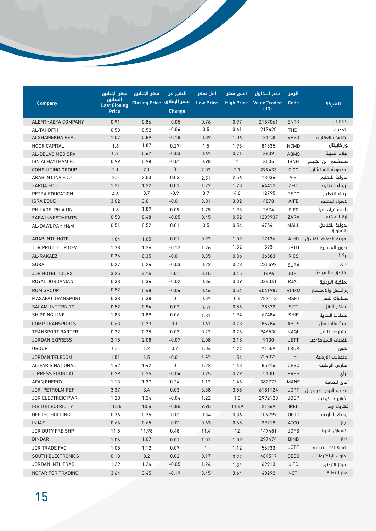|                          | سعر الإغلاق                   | سعر الإغلاق               | التغير عن | أقل سعر          | أعلى سعر          | حجم التداول         | الرمز       |                             |
|--------------------------|-------------------------------|---------------------------|-----------|------------------|-------------------|---------------------|-------------|-----------------------------|
| Company                  | السابق<br><b>Last Closing</b> | سعر الإغلاق Closing Price |           | <b>Low Price</b> | <b>High Price</b> | <b>Value Traded</b> | Code        | الشركة                      |
|                          | Price                         |                           | Change    |                  |                   | (JD)                |             |                             |
| ALENTKAEYA COMPANY       | 0.91                          | 0.86                      | $-0.05$   | 0.76             | 0.97              | 2157061             | <b>ENTK</b> | الانتقائية                  |
| AL-TAHDITH               | 0.58                          | 0.52                      | $-0.06$   | 0.5              | 0.61              | 217620              | <b>THDI</b> | التحديث                     |
| ALSHAMEKHA REAL.         | 1.07                          | 0.89                      | $-0.18$   | 0.89             | 1.06              | 121130              | <b>VFED</b> | الشامخة العقارية            |
| <b>NOOR CAPITAL</b>      | 1.6                           | 1.87                      | 0.27      | 1.5              | 1.96              | 81535               | <b>NCMD</b> | نور کابیتال                 |
| AL-BELAD MED SRV         | 0.7                           | 0.67                      | $-0.03$   | 0.67             | 0.71              | 3609                | <b>ABMS</b> | البلاد الطبية               |
| IBN ALHAYTHAM H.         | 0.99                          | 0.98                      | $-0.01$   | 0.98             | $\mathbf{1}$      | 3505                | <b>IBNH</b> | مستشفى ابن الهيثم           |
| <b>CONSULTING GROUP</b>  | 2.1                           | 2.1                       | $\pmb{0}$ | 2.02             | 2.1               | 299433              | <b>CICO</b> | المجموعة الاستشارية         |
| ARAB INT INV EDU         | 2.5                           | 2.53                      | 0.03      | 2.51             | 2.56              | 13036               | AIEI        | الدولية للتعليم             |
| ZARQA EDUC               | 1.21                          | 1.22                      | 0.01      | 1.22             | 1.23              | 44412               | ZEIC        | الزرقاء للتعليم             |
| PETRA EDUCATION          | 4.6                           | 3.7                       | $-0.9$    | 3.7              | 4.6               | 12795               | PEDC        | البتراء للتعليم             |
| <b>ISRA EDUE</b>         | 3.02                          | 3.01                      | $-0.01$   | 3.01             | 3.02              | 4878                | AIFE        | الإسراء للتعليم             |
| PHILADELPHIA UNI         | 1.8                           | 1.89                      | 0.09      | 1.79             | 1.93              | 2674                | <b>PIEC</b> | جامعة فيلادلفيا             |
| ZARA INVESTMENTS         | 0.53                          | 0.48                      | $-0.05$   | 0.45             | 0.52              | 1289937             | ZARA        | زارة للاستثمار              |
| AL-DAWLIYAH H&M          | 0.51                          | 0.52                      | 0.01      | 0.5              | 0.54              | 47541               | <b>MALL</b> | الدولية للفنادق<br>والاسواق |
| ARAB INTL HOTEL          | 1.04                          | 1.05                      | 0.01      | 0.92             | 1.09              | 17136               | <b>AIHO</b> | العربية الدولية للفنادق     |
| JOR PROJ TOUR DEV        | 1.38                          | 1.26                      | $-0.12$   | 1.26             | 1.32              | 393                 | <b>JPTD</b> | تطوير المشاريع              |
| AL-RAKAEZ                | 0.36                          | 0.35                      | $-0.01$   | 0.35             | 0.36              | 36583               | <b>RICS</b> | الركائز                     |
| <b>SURA</b>              | 0.27                          | 0.24                      | $-0.03$   | 0.22             | 0.28              | 235592              | <b>SURA</b> | سُری                        |
| <b>JOR HOTEL TOURS</b>   | 3.25                          | 3.15                      | $-0.1$    | 3.15             | 3.15              | 1496                | <b>JOHT</b> | الفنادق والسياحة            |
| ROYAL JORDANIAN          | 0.38                          | 0.36                      | $-0.02$   | 0.36             | 0.39              | 334341              | RJAL        | الملكية الأردنية            |
| <b>RUM GROUP</b>         | 0.52                          | 0.48                      | $-0.04$   | 0.46             | 0.54              | 4041987             | <b>RUMM</b> | رم للنقل والاستثمار         |
| <b>MASAFAT TRANSPORT</b> | 0.38                          | 0.38                      | 0         | 0.37             | 0.4               | 287113              | <b>MSFT</b> | مسافات للنقل                |
| SALAM INT TRN TD         | 0.52                          | 0.54                      | 0.02      | 0.51             | 0.56              | 78372               | <b>SITT</b> | السلام للنقل                |
| <b>SHIPPING LINE</b>     | 1.83                          | 1.89                      | 0.06      | 1.81             | 1.94              | 67484               | <b>SHIP</b> | الخطوط البحرية              |
| <b>COMP TRANSPORTS</b>   | 0.63                          | 0.73                      | 0.1       | 0.61             | 0.73              | 85784               | <b>ABUS</b> | المتكاملة للنقل             |
| <b>TRANSPORT BARTER</b>  | 0.22                          | 0.25                      | 0.03      | 0.22             | 0.26              | 946530              | NAQL        | المقايضة للنقل              |
| <b>JORDAN EXPRESS</b>    | 2.15                          | 2.08                      | $-0.07$   | 2.08             | 2.15              | 9130                | <b>JETT</b> | النقليات السياحة/جت         |
| <b>UBOUR</b>             | 0.5                           | 1.2                       | 0.7       | 1.04             | 1.22              | 71559               | <b>TRUK</b> | العبور                      |
| <b>JORDAN TELECOM</b>    | 1.51                          | 1.5                       | $-0.01$   | 1.47             | 1.54              | 259325              | <b>JTEL</b> | الاتصالات الأردنية          |
| AL-FARIS NATIONAL        | 1.42                          | 1.42                      | 0         | 1.22             | 1.43              | 85216               | <b>CEBC</b> | الفارس الوطنية              |
| J. PRESS FOUNDAT         | 0.29                          | 0.25                      | $-0.04$   | 0.25             | 0.29              | 5130                | <b>PRES</b> | الرأي                       |
| AFAQ ENERGY              | 1.13                          | 1.37                      | 0.24      | 1.12             | 1.46              | 382773              | MANE        | آفاق للطاقة                 |
| JOR PETROLM REF          | 3.37                          | 3.4                       | 0.03      | 3.38             | 3.58              | 6181124             | <b>JOPT</b> | مصفاة الاردن /جوبترول       |
| JOR ELECTREIC PWR        | 1.28                          | 1.24                      | $-0.04$   | 1.22             | 1.3               | 2992120             | <b>JOEP</b> | الكهرباء الاردنية           |
| IRBID ELECTRICITY        | 11.25                         | 10.4                      | $-0.85$   | 9.95             | 11.49             | 21869               | <b>IREL</b> | کهرباء اربد                 |
| OFFTEC HOLDING           | 0.36                          | 0.35                      | $-0.01$   | 0.34             | 0.36              | 109797              | <b>OFTC</b> | أوفتك القابضة               |
| <b>INJAZ</b>             | 0.66                          | 0.65                      | $-0.01$   | 0.63             | 0.65              | 29919               | <b>ATCO</b> | انجاز                       |
| JOR DUTY FRE SHP         | 11.5                          | 11.98                     | 0.48      | 11.4             | 12                | 147481              | <b>JDFS</b> | الاسواق الحرة               |
| <b>BINDAR</b>            | 1.06                          | 1.07                      | 0.01      | 1.01             | 1.09              | 297474              | <b>BIND</b> | بندار                       |
| JOR TRADE FAC            | 1.05                          | 1.12                      | 0.07      | $\mathbf{1}$     | 1.12              | 56933               | <b>JOTF</b> | التسهيلات التجارية          |
| SOUTH ELECTRONICS        | 0.18                          | $0.2\,$                   | 0.02      | 0.17             | 0.22              | 484517              | <b>SECO</b> | الجنوب للإلكترونيات         |
| JORDAN INTL TRAD         | 1.29                          | 1.24                      | $-0.05$   | 1.24             | 1.34              | 69913               | <b>JITC</b> | المركز الاردني              |
| NOPAR FOR TRADING        | 3.64                          | 3.45                      | $-0.19$   | 3.45             | 3.64              | 40292               | <b>NOTI</b> | نوبار للتجارة               |
|                          |                               |                           |           |                  |                   |                     |             |                             |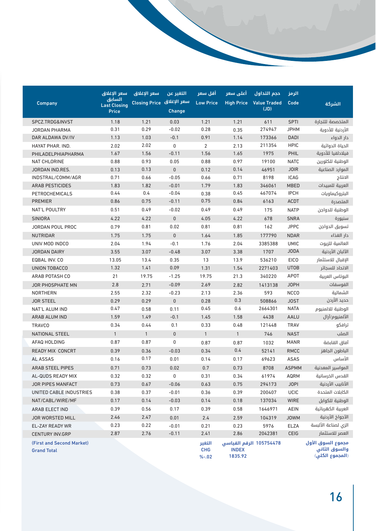|                           | سعر الإغلاق                   | سعر الإغلاق               | التغير عن     | أقل سعر          | أعلى سعر                | حجم التداول                 | الرمز        |                     |
|---------------------------|-------------------------------|---------------------------|---------------|------------------|-------------------------|-----------------------------|--------------|---------------------|
| <b>Company</b>            | السابق<br><b>Last Closing</b> | سعر الإغلاق Closing Price | <b>Change</b> | <b>Low Price</b> | <b>High Price</b>       | <b>Value Traded</b><br>(JD) | Code         | الشركة              |
|                           | <b>Price</b>                  |                           |               |                  |                         |                             |              |                     |
| SPCZ.TRDG&INVST           | 1.18                          | 1.21                      | 0.03          | 1.21             | 1.21                    | 611                         | <b>SPTI</b>  | المتخصصة للتجارة    |
| <b>JORDAN PHARMA</b>      | 0.31                          | 0.29                      | $-0.02$       | 0.28             | 0.35                    | 274947                      | <b>JPHM</b>  | الأردنية للأدوية    |
| DAR ALDAWA DV/IV          | 1.13                          | 1.03                      | $-0.1$        | 0.91             | 1.14                    | 173366                      | <b>DADI</b>  | دار الدواء          |
| HAYAT PHAR, IND.          | 2.02                          | 2.02                      | 0             | $\overline{2}$   | 2.13                    | 211354                      | <b>HPIC</b>  | الحياة الدوائية     |
| PHILADELPHIAPHARMA        | 1.67                          | 1.56                      | $-0.11$       | 1.56             | 1.65                    | 1975                        | PHIL         | فيلادلفيا للأدوية   |
| <b>NAT CHLORINE</b>       | 0.88                          | 0.93                      | 0.05          | 0.88             | 0.97                    | 19100                       | <b>NATC</b>  | الوطنية للكلورين    |
| JORDAN IND.RES.           | 0.13                          | 0.13                      | $\mathbf{0}$  | 0.12             | 0.14                    | 46951                       | <b>JOIR</b>  | الموارد الصناعية    |
| INDSTRAL/COMM/AGR         | 0.71                          | 0.66                      | $-0.05$       | 0.66             | 0.71                    | 8198                        | ICAG         | الانتاج             |
| <b>ARAB PESTICIDES</b>    | 1.83                          | 1.82                      | $-0.01$       | 1.79             | 1.83                    | 346061                      | <b>MBED</b>  | العربية للمبيدات    |
| PETROCHEMICALS            | 0.44                          | 0.4                       | $-0.04$       | 0.38             | 0.45                    | 467074                      | <b>IPCH</b>  | البتروكيماويات      |
| <b>PREMIER</b>            | 0.86                          | 0.75                      | $-0.11$       | 0.75             | 0.84                    | 6163                        | ACDT         | المتصدرة            |
| NAT'L POULTRY             | 0.51                          | 0.49                      | $-0.02$       | 0.49             | 0.49                    | 175                         | <b>NATP</b>  | الوطنية للدواجن     |
| SINIORA                   | 4.22                          | 4.22                      | $\pmb{0}$     | 4.05             | 4.22                    | 678                         | <b>SNRA</b>  | سنيورة              |
| <b>JORDAN POUL PROC</b>   | 0.79                          | 0.81                      | 0.02          | 0.81             | 0.81                    | 162                         | <b>JPPC</b>  | تسويق الدواجن       |
| <b>NUTRIDAR</b>           | 1.75                          | 1.75                      | $\pmb{0}$     | 1.64             | 1.85                    | 177790                      | <b>NDAR</b>  | دار الغذاء          |
| UNIV MOD INDCO            | 2.04                          | 1.94                      | $-0.1$        | 1.76             | 2.04                    | 3385388                     | <b>UMIC</b>  | العالمية للزيوت     |
| <b>JORDAN DAIRY</b>       | 3.55                          | 3.07                      | $-0.48$       | 3.07             | 3.38                    | 1707                        | <b>JODA</b>  | الآلبان الأردنية    |
| EQBAL INV. CO             | 13.05                         | 13.4                      | 0.35          | 13               | 13.9                    | 536210                      | <b>EICO</b>  | الإقبال للاستثمار   |
| UNION TOBACCO             | 1.32                          | 1.41                      | 0.09          | 1.31             | 1.54                    | 2271403                     | <b>UTOB</b>  | الاتحاد للسجائر     |
| ARAB POTASH CO            | 21                            | 19.75                     | $-1.25$       | 19.75            | 21.3                    | 340220                      | <b>APOT</b>  | البوتاس العربية     |
| <b>JOR PHOSPHATE MN</b>   | 2.8                           | 2.71                      | $-0.09$       | 2.69             | 2.82                    | 1413138                     | <b>JOPH</b>  | الفوسفات            |
| <b>NORTHERN</b>           | 2.55                          | 2.32                      | $-0.23$       | 2.13             | 2.36                    | 593                         | <b>NCCO</b>  | الشمالية            |
| <b>JOR STEEL</b>          | 0.29                          | 0.29                      | 0             | 0.28             | 0.3                     | 508866                      | <b>JOST</b>  | حديد الأردن         |
| NAT'L ALUM IND            | 0.47                          | 0.58                      | 0.11          | 0.45             | 0.6                     | 2664301                     | <b>NATA</b>  | الوطنية للالمنيوم   |
| ARAB ALUM IND             | 1.59                          | 1.49                      | $-0.1$        | 1.45             | 1.58                    | 4438                        | <b>AALU</b>  | الألمنيوم/آرال      |
| <b>TRAVCO</b>             | 0.34                          | 0.44                      | 0.1           | 0.33             | 0.48                    | 121448                      | <b>TRAV</b>  | ترافكو              |
| <b>NATIONAL STEEL</b>     | $\mathbf{1}$                  | $\mathbf{1}$              | $\pmb{0}$     | $\mathbf{1}$     | $\mathbf{1}$            | 746                         | <b>NAST</b>  | الصلب               |
| AFAQ HOLDING              | 0.87                          | 0.87                      | 0             | 0.87             | 0.87                    | 1032                        | <b>MANR</b>  | آفاق القابضة        |
| <b>READY MIX CONCRT</b>   | 0.39                          | 0.36                      | $-0.03$       | 0.34             | 0.4                     | 52141                       | <b>RMCC</b>  | الباطون الجاهز      |
| AL ASSAS                  | 0.16                          | 0.17                      | 0.01          | 0.14             | 0.17                    | 69623                       | ASAS         | الأساس              |
| <b>ARAB STEEL PIPES</b>   | 0.71                          | 0.73                      | 0.02          | 0.7              | 0.73                    | 8708                        | <b>ASPMM</b> | المواسير المعدنية   |
| AL-QUDS READY MIX         | 0.32                          | 0.32                      | 0             | 0.31             | 0.34                    | 61974                       | AQRM         | القدس الخرسانية     |
| JOR PIPES MANFACT         | 0.73                          | 0.67                      | $-0.06$       | 0.63             | 0.75                    | 294173                      | <b>JOPI</b>  | الأنابيب الأردنية   |
| UNITED CABLE INDUSTRIES   | 0.38                          | 0.37                      | $-0.01$       | 0.36             | 0.39                    | 200407                      | UCIC         | الكابلات المتحدة    |
| NAT/CABL/WIRE/MF          | 0.17                          | 0.14                      | $-0.03$       | 0.14             | 0.18                    | 137034                      | WIRE         | الوطنية للكوابل     |
| ARAB ELECT IND            | 0.39                          | 0.56                      | 0.17          | 0.39             | 0.58                    | 1646971                     | AEIN         | العربية الكهربائية  |
| JOR WORSTED MILL          | 2.46                          | 2.47                      | 0.01          | 2.4              | 2.59                    | 104319                      | <b>JOWM</b>  | الآجواخ الأردنية    |
| EL-ZAY READY WR           | 0.23                          | 0.22                      | $-0.01$       | 0.21             | 0.23                    | 5976                        | ELZA         | الزي لصناعة الألبسة |
| <b>CENTURY INV.GRP</b>    | 2.87                          | 2.76                      | $-0.11$       | 2.41             | 2.86                    | 2042381                     | CEIG         | العصر للاستثمار     |
| (First and Second Market) |                               |                           |               | التغير           | 105754478 الرقم القياسي |                             |              | مجموع السوق الأول   |
| <b>Grand Total</b>        |                               |                           |               | <b>CHG</b>       | <b>INDEX</b>            |                             |              | والسوق الثانى       |
|                           |                               |                           |               | $% -.02$         | 1835.92                 |                             |              | (المجموع الكلي)     |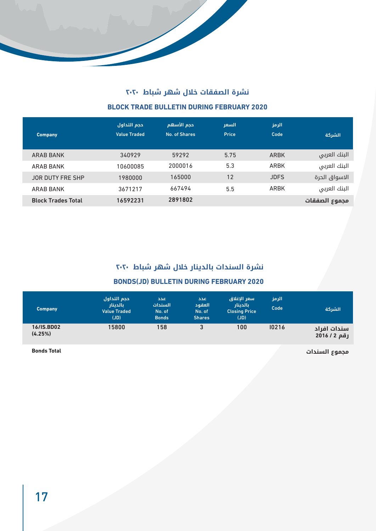

# **نشرة الصفقات خالل شهر شباط 2020 BLOCK TRADE BULLETIN DURING FEBRUARY 2020**

| <b>Company</b>            | حجم التداول<br><b>Value Traded</b> | حجم الأسهم<br>No. of Shares | السعر<br><b>Price</b> | الرمز<br>Code | الشركة        |
|---------------------------|------------------------------------|-----------------------------|-----------------------|---------------|---------------|
| ARAB BANK                 | 340929                             | 59292                       | 5.75                  | ARBK          | البنك العربى  |
| <b>ARAB BANK</b>          | 10600085                           | 2000016                     | 5.3                   | ARBK          | البنك العربى  |
| <b>JOR DUTY FRE SHP</b>   | 1980000                            | 165000                      | 12                    | <b>JDFS</b>   | الاسواق الحرة |
| <b>ARAB BANK</b>          | 3671217                            | 667494                      | 5.5                   | <b>ARBK</b>   | البنك العربى  |
| <b>Block Trades Total</b> | 16592231                           | 2891802                     |                       |               | مجموع الصفقات |

#### **نشرة السندات بالدينار خالل شهر شباط 2020**

#### **2020** BONDS(JD) BULLETIN DURING FEBRUARY 2020

| <b>Company</b>               | احجم التداول<br>بالدينار<br><b>Value Traded</b><br>(JD) | اعدد<br>السندات<br>No. of<br><b>Bonds</b> | عدد<br>العقود<br>No. of<br><b>Shares</b> | اسعر الإغلاق<br>بالدينار<br><b>Closing Price</b><br>(JD) | الرمز<br>Code | الشركة                    |
|------------------------------|---------------------------------------------------------|-------------------------------------------|------------------------------------------|----------------------------------------------------------|---------------|---------------------------|
| <b>16/IS.BD02</b><br>(4.25%) | 15800                                                   | 158                                       | 3                                        | 100                                                      | 10216         | سندات افراد<br>رقم 2016/2 |

**Bonds** Total

**مجموع السندات**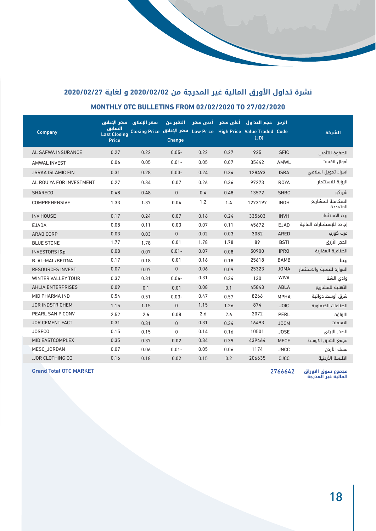# **نشرة تداول األورق المالية غير المدرجة من 2020/02/02 و لغاية 2020/02/27 MONTHLY OTC BULLETINS FROM 02/02/2020 TO 27/02/2020**

| Company                   | اسعر الإغلاق<br>السابق<br><b>Last Closing</b><br><b>Price</b> | سعر الإغلاق<br>Low Price سعر الإغلاق Closing Price | التغير عن<br>Change | أدني سعر | أعلى سعر | الرمز _حجم التداول<br><b>High Price Value Traded Code</b><br>(JD) |             | الشركة                         |
|---------------------------|---------------------------------------------------------------|----------------------------------------------------|---------------------|----------|----------|-------------------------------------------------------------------|-------------|--------------------------------|
| AL SAFWA INSURANCE        | 0.27                                                          | 0.22                                               | $0.05 -$            | 0.22     | 0.27     | 925                                                               | <b>SFIC</b> | الصفوة للتأمين                 |
| <b>AMWAL INVEST</b>       | 0.06                                                          | 0.05                                               | $0.01 -$            | 0.05     | 0.07     | 35442                                                             | AMWL        | أموال انفست                    |
| <b>.ISRAA ISLAMIC FIN</b> | 0.31                                                          | 0.28                                               | $0.03 -$            | 0.24     | 0.34     | 128493                                                            | <b>ISRA</b> | اسراء تمويل اسلامى             |
| AL ROU'YA FOR INVESTMENT  | 0.27                                                          | 0.34                                               | 0.07                | 0.26     | 0.36     | 97273                                                             | <b>ROYA</b> | الرؤية للاستثمار               |
| <b>SHARECO</b>            | 0.48                                                          | 0.48                                               | $\mathbf{0}$        | 0.4      | 0.48     | 13572                                                             | <b>SHBC</b> | شيركو                          |
| COMPREHENSIVE             | 1.33                                                          | 1.37                                               | 0.04                | 1.2      | 1.4      | 1273197                                                           | <b>INOH</b> | المتكاملة للمشاريع<br>المتعددة |
| <b>INV HOUSE</b>          | 0.17                                                          | 0.24                                               | 0.07                | 0.16     | 0.24     | 335603                                                            | <b>INVH</b> | بيت الاستثمار                  |
| <b>EJADA</b>              | 0.08                                                          | 0.11                                               | 0.03                | 0.07     | 0.11     | 45672                                                             | <b>EJAD</b> | إجادة للاستثمارات المالية      |
| <b>ARAB CORP</b>          | 0.03                                                          | 0.03                                               | $\mathbf{0}$        | 0.02     | 0.03     | 3082                                                              | <b>ARED</b> | عرب کورب                       |
| <b>BLUE STONE</b>         | 1.77                                                          | 1.78                                               | 0.01                | 1.78     | 1.78     | 89                                                                | <b>BSTI</b> | الحجر الأزرق                   |
| <b>INVESTORS 1&amp;p</b>  | 0.08                                                          | 0.07                                               | $0.01 -$            | 0.07     | 0.08     | 50900                                                             | <b>IPRO</b> | الصناعية العقارية              |
| <b>B. AL-MAL/BEITNA</b>   | 0.17                                                          | 0.18                                               | 0.01                | 0.16     | 0.18     | 25618                                                             | <b>BAMB</b> | بيتنا                          |
| <b>RESOURCES INVEST</b>   | 0.07                                                          | 0.07                                               | $\pmb{0}$           | 0.06     | 0.09     | 25323                                                             | <b>JOMA</b> | الموارد للتنمية والاستثمار     |
| <b>WINTER VALLEY TOUR</b> | 0.37                                                          | 0.31                                               | $0.06 -$            | 0.31     | 0.34     | 130                                                               | <b>WIVA</b> | وادي الشتا                     |
| <b>AHLIA ENTERPRISES</b>  | 0.09                                                          | 0.1                                                | 0.01                | 0.08     | 0.1      | 45843                                                             | ABLA        | الأهلية للمشاريع               |
| MID PHARMA IND            | 0.54                                                          | 0.51                                               | $0.03 -$            | 0.47     | 0.57     | 8266                                                              | <b>MPHA</b> | شرق أوسط دوائية                |
| <b>JOR INDSTR CHEM</b>    | 1.15                                                          | 1.15                                               | $\mathbf{0}$        | 1.15     | 1.26     | 874                                                               | <b>JOIC</b> | الصناعات الكيماوية             |
| PEARL SAN P CONV          | 2.52                                                          | 2.6                                                | 0.08                | 2.6      | 2.6      | 2072                                                              | PERL        | اللؤلؤة                        |
| <b>JOR CEMENT FACT</b>    | 0.31                                                          | 0.31                                               | $\mathbf{0}$        | 0.31     | 0.34     | 16493                                                             | <b>JOCM</b> | الاسمنت                        |
| <b>JOSECO</b>             | 0.15                                                          | 0.15                                               | $\mathbf{0}$        | 0.14     | 0.16     | 10501                                                             | <b>JOSE</b> | الصخر الزيتى                   |
| MID EASTCOMPLEX           | 0.35                                                          | 0.37                                               | 0.02                | 0.34     | 0.39     | 439464                                                            | <b>MECE</b> | مجمع الشرق الاوسط              |
| MESC JORDAN               | 0.07                                                          | 0.06                                               | $0.01 -$            | 0.05     | 0.06     | 1174                                                              | <b>JNCC</b> | مسك الأردن                     |
| <b>JOR CLOTHING CO</b>    | 0.16                                                          | 0.18                                               | 0.02                | 0.15     | 0.2      | 206635                                                            | <b>CJCC</b> | الألبسة الأردنية               |

and Total OTC MARKET And The United States of the United States of the United States of the United States of the U

**مجموع سوق االوراق المالية غير المدرجة**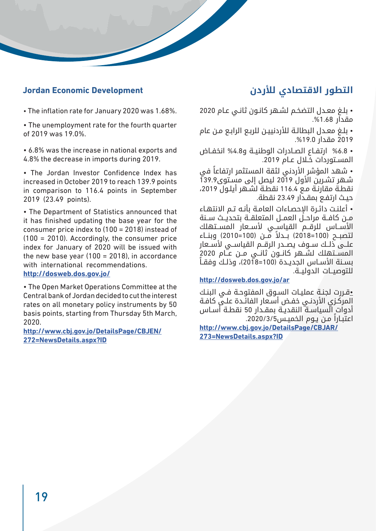## **التطور االقتصادي لألردن Development Economic Jordan**

#### • The inflation rate for January 2020 was 1.68%.

• The unemployment rate for the fourth quarter of 2019 was 19.0%.

• 6.8% was the increase in national exports and 4.8% the decrease in imports during 2019.

• The Jordan Investor Confidence Index has increased in October 2019 to reach 139.9 points in comparison to 116.4 points in September 2019 (23.49 points).

• The Department of Statistics announced that it has finished updating the base vear for the consumer price index to  $(100 = 2018)$  instead of  $(100 - 2010)$ . Accordingly, the consumer price index for January of 2020 will be issued with the new base year (100 = 2018), in accordance with international recommendations.

#### **/jo.gov.dos.dosweb://http**

• The Open Market Operations Committee at the Central bank of Jordan decided to cut the interest rates on all monetary policy instruments by 50 basis points, starting from Thursday 5th March, 2020.

http://www.cbj.gov.jo/DetailsPage/CBJEN/ **272=NewsDetails.aspx?ID** 

• بلـغ معـدل التضخـم لشـهر كانـون ثانـي عـام 2020 مقدار .%1.68

• بلـغ معـدل البطالـة لألردنييـن للربـع الرابـع مـن عام 2019 مقدار .%19.0

• %6.8 ارتفـاع الصـادرات الوطنيـة و%4.8 انخفـاض المسـتوردات خـال عـام .2019

• شهد المؤشر الأردني لثقة المستثمر ارتفاعاً في شـهر تشـرين األول 2019 ليصل إلى مسـتوى139.9 نقطـة مقارنـة مـع 116.4 نقطـة لشـهر أيلـول ،2019 حيـث ارتفـع بمقـدار 23.49 نقطة.

• أعلنـت دائـرة اإلحصـاءات العامـة بأنـه تـم االنتهـاء مــن كافــة مراحــل العمــل المتعلقــة بتحديــث ســنة الأســاس للرقــم القياســي لأســعار المســتهلك لتصبــح )100=2018( ً بــدال مــن )100=2010( وبنــاء علــى ذلــك ســوف يصــدر الرقــم القياســي ألســعار المســتهلك لشــهر كانــون ثانــي مــن عــام 2020 بسـنة الأسـاس الجديـدة (100=2018)، وذلـك وفقـاً للتوصيــات الدوليــة.

#### http://dosweb.dos.gov.jo/ar

•قـررت لجنـة عمليـات السـوق المفتوحـة فـي البنـك المركـزي الأردنـي خفـض أسـعار الفائـدة علـي كافـة أدوات السياسـة النقديـة بمقـدار 50 نقطـة أسـاس ً اعتبـارا مـن يـوم الخميـس.2020/3/5

http://www.cbj.gov.jo/DetailsPage/CBJAR/ **273=NewsDetails.aspx?ID**